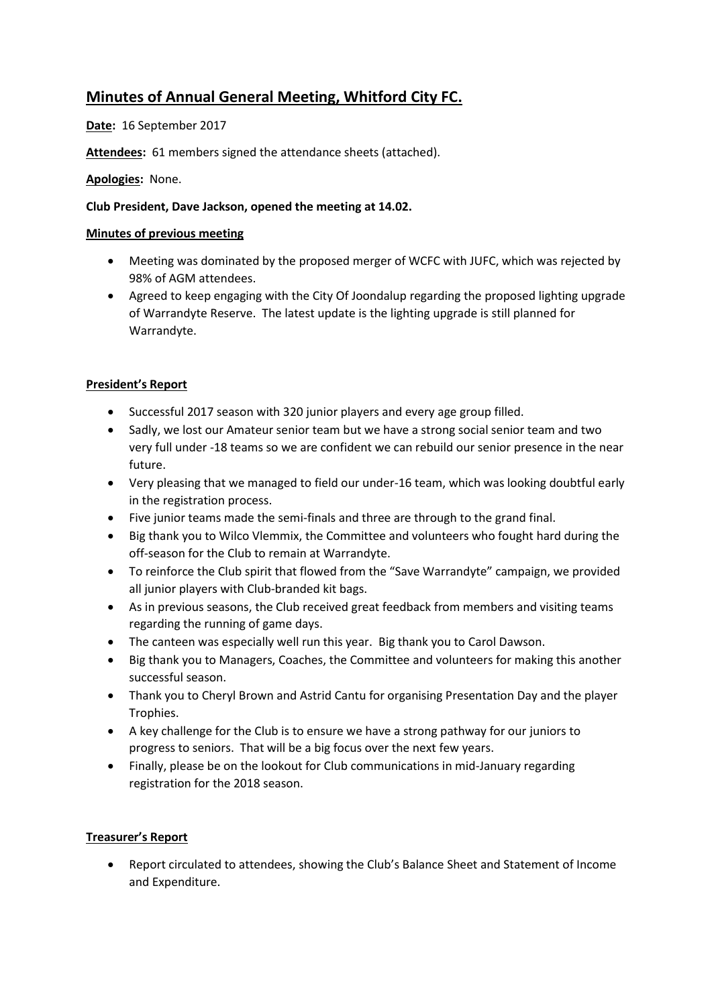# **Minutes of Annual General Meeting, Whitford City FC.**

**Date:** 16 September 2017

**Attendees:** 61 members signed the attendance sheets (attached).

## **Apologies:** None.

## **Club President, Dave Jackson, opened the meeting at 14.02.**

### **Minutes of previous meeting**

- Meeting was dominated by the proposed merger of WCFC with JUFC, which was rejected by 98% of AGM attendees.
- Agreed to keep engaging with the City Of Joondalup regarding the proposed lighting upgrade of Warrandyte Reserve. The latest update is the lighting upgrade is still planned for Warrandyte.

# **President's Report**

- Successful 2017 season with 320 junior players and every age group filled.
- Sadly, we lost our Amateur senior team but we have a strong social senior team and two very full under -18 teams so we are confident we can rebuild our senior presence in the near future.
- Very pleasing that we managed to field our under-16 team, which was looking doubtful early in the registration process.
- Five junior teams made the semi-finals and three are through to the grand final.
- Big thank you to Wilco Vlemmix, the Committee and volunteers who fought hard during the off-season for the Club to remain at Warrandyte.
- To reinforce the Club spirit that flowed from the "Save Warrandyte" campaign, we provided all junior players with Club-branded kit bags.
- As in previous seasons, the Club received great feedback from members and visiting teams regarding the running of game days.
- The canteen was especially well run this year. Big thank you to Carol Dawson.
- Big thank you to Managers, Coaches, the Committee and volunteers for making this another successful season.
- Thank you to Cheryl Brown and Astrid Cantu for organising Presentation Day and the player Trophies.
- A key challenge for the Club is to ensure we have a strong pathway for our juniors to progress to seniors. That will be a big focus over the next few years.
- Finally, please be on the lookout for Club communications in mid-January regarding registration for the 2018 season.

### **Treasurer's Report**

 Report circulated to attendees, showing the Club's Balance Sheet and Statement of Income and Expenditure.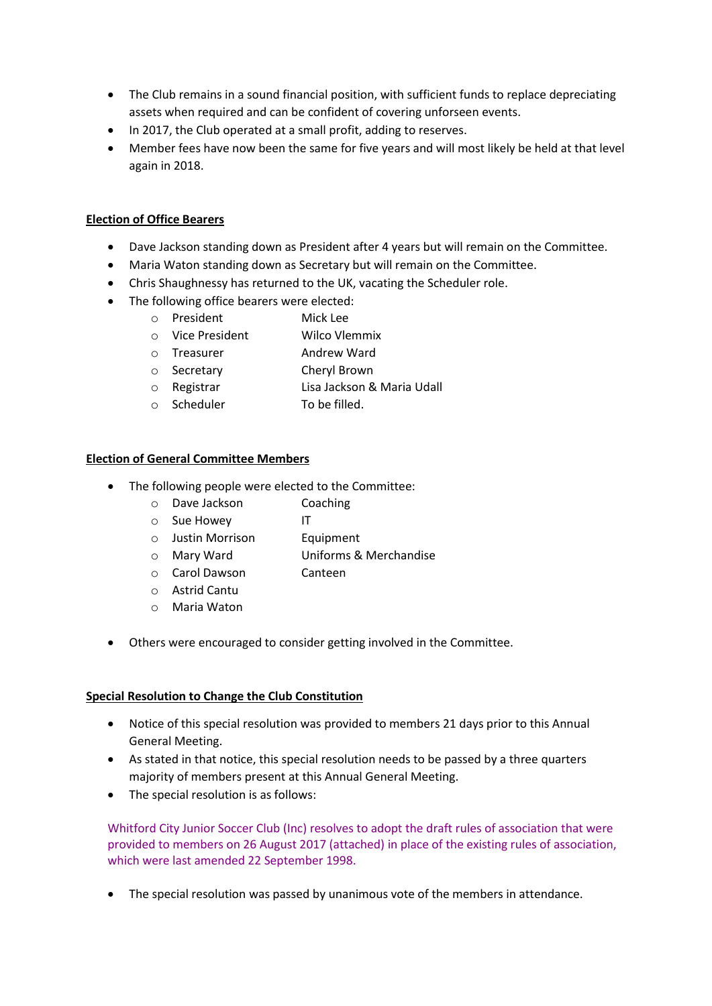- The Club remains in a sound financial position, with sufficient funds to replace depreciating assets when required and can be confident of covering unforseen events.
- In 2017, the Club operated at a small profit, adding to reserves.
- Member fees have now been the same for five years and will most likely be held at that level again in 2018.

#### **Election of Office Bearers**

- Dave Jackson standing down as President after 4 years but will remain on the Committee.
- Maria Waton standing down as Secretary but will remain on the Committee.
- Chris Shaughnessy has returned to the UK, vacating the Scheduler role.
- The following office bearers were elected:
	- o President Mick Lee
	- o Vice President Wilco Vlemmix
	- o Treasurer Andrew Ward
	- o Secretary Cheryl Brown
	- o Registrar Lisa Jackson & Maria Udall
	- o Scheduler To be filled.

#### **Election of General Committee Members**

- The following people were elected to the Committee:
	- o Dave Jackson Coaching
	- o Sue Howey IT
	- o Justin Morrison Equipment
	- o Mary Ward Uniforms & Merchandise
	- o Carol Dawson Canteen
	- o Astrid Cantu
	- o Maria Waton
- Others were encouraged to consider getting involved in the Committee.

#### **Special Resolution to Change the Club Constitution**

- Notice of this special resolution was provided to members 21 days prior to this Annual General Meeting.
- As stated in that notice, this special resolution needs to be passed by a three quarters majority of members present at this Annual General Meeting.
- The special resolution is as follows:

Whitford City Junior Soccer Club (Inc) resolves to adopt the draft rules of association that were provided to members on 26 August 2017 (attached) in place of the existing rules of association, which were last amended 22 September 1998.

The special resolution was passed by unanimous vote of the members in attendance.